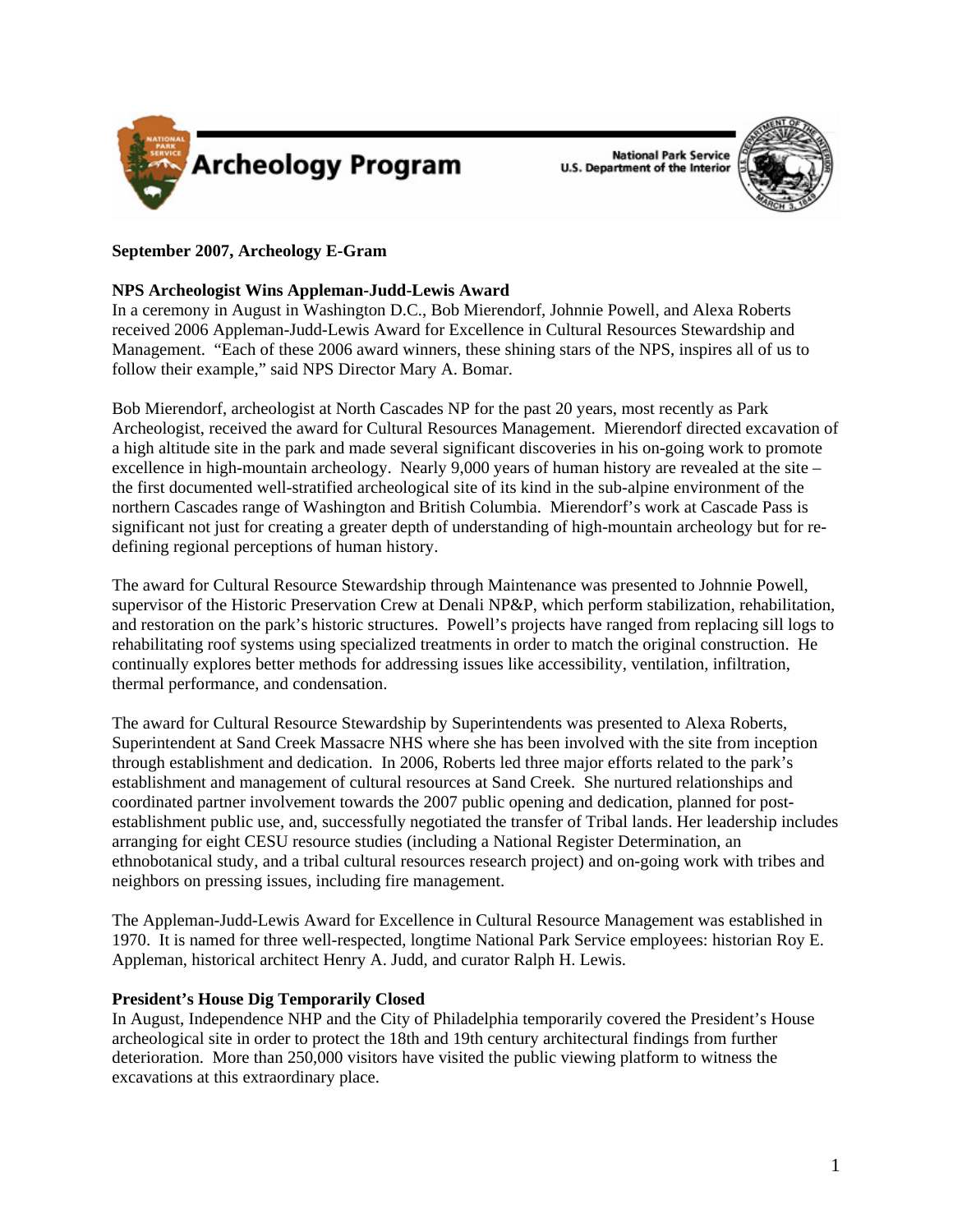

**National Park Service U.S. Department of the Interior** 



## **September 2007, Archeology E-Gram**

### **NPS Archeologist Wins Appleman-Judd-Lewis Award**

In a ceremony in August in Washington D.C., Bob Mierendorf, Johnnie Powell, and Alexa Roberts received 2006 Appleman-Judd-Lewis Award for Excellence in Cultural Resources Stewardship and Management. "Each of these 2006 award winners, these shining stars of the NPS, inspires all of us to follow their example," said NPS Director Mary A. Bomar.

Bob Mierendorf, archeologist at North Cascades NP for the past 20 years, most recently as Park Archeologist, received the award for Cultural Resources Management. Mierendorf directed excavation of a high altitude site in the park and made several significant discoveries in his on-going work to promote excellence in high-mountain archeology. Nearly 9,000 years of human history are revealed at the site – the first documented well-stratified archeological site of its kind in the sub-alpine environment of the northern Cascades range of Washington and British Columbia. Mierendorf's work at Cascade Pass is significant not just for creating a greater depth of understanding of high-mountain archeology but for redefining regional perceptions of human history.

The award for Cultural Resource Stewardship through Maintenance was presented to Johnnie Powell, supervisor of the Historic Preservation Crew at Denali NP&P, which perform stabilization, rehabilitation, and restoration on the park's historic structures. Powell's projects have ranged from replacing sill logs to rehabilitating roof systems using specialized treatments in order to match the original construction. He continually explores better methods for addressing issues like accessibility, ventilation, infiltration, thermal performance, and condensation.

The award for Cultural Resource Stewardship by Superintendents was presented to Alexa Roberts, Superintendent at Sand Creek Massacre NHS where she has been involved with the site from inception through establishment and dedication. In 2006, Roberts led three major efforts related to the park's establishment and management of cultural resources at Sand Creek. She nurtured relationships and coordinated partner involvement towards the 2007 public opening and dedication, planned for postestablishment public use, and, successfully negotiated the transfer of Tribal lands. Her leadership includes arranging for eight CESU resource studies (including a National Register Determination, an ethnobotanical study, and a tribal cultural resources research project) and on-going work with tribes and neighbors on pressing issues, including fire management.

The Appleman-Judd-Lewis Award for Excellence in Cultural Resource Management was established in 1970. It is named for three well-respected, longtime National Park Service employees: historian Roy E. Appleman, historical architect Henry A. Judd, and curator Ralph H. Lewis.

### **President's House Dig Temporarily Closed**

In August, Independence NHP and the City of Philadelphia temporarily covered the President's House archeological site in order to protect the 18th and 19th century architectural findings from further deterioration. More than 250,000 visitors have visited the public viewing platform to witness the excavations at this extraordinary place.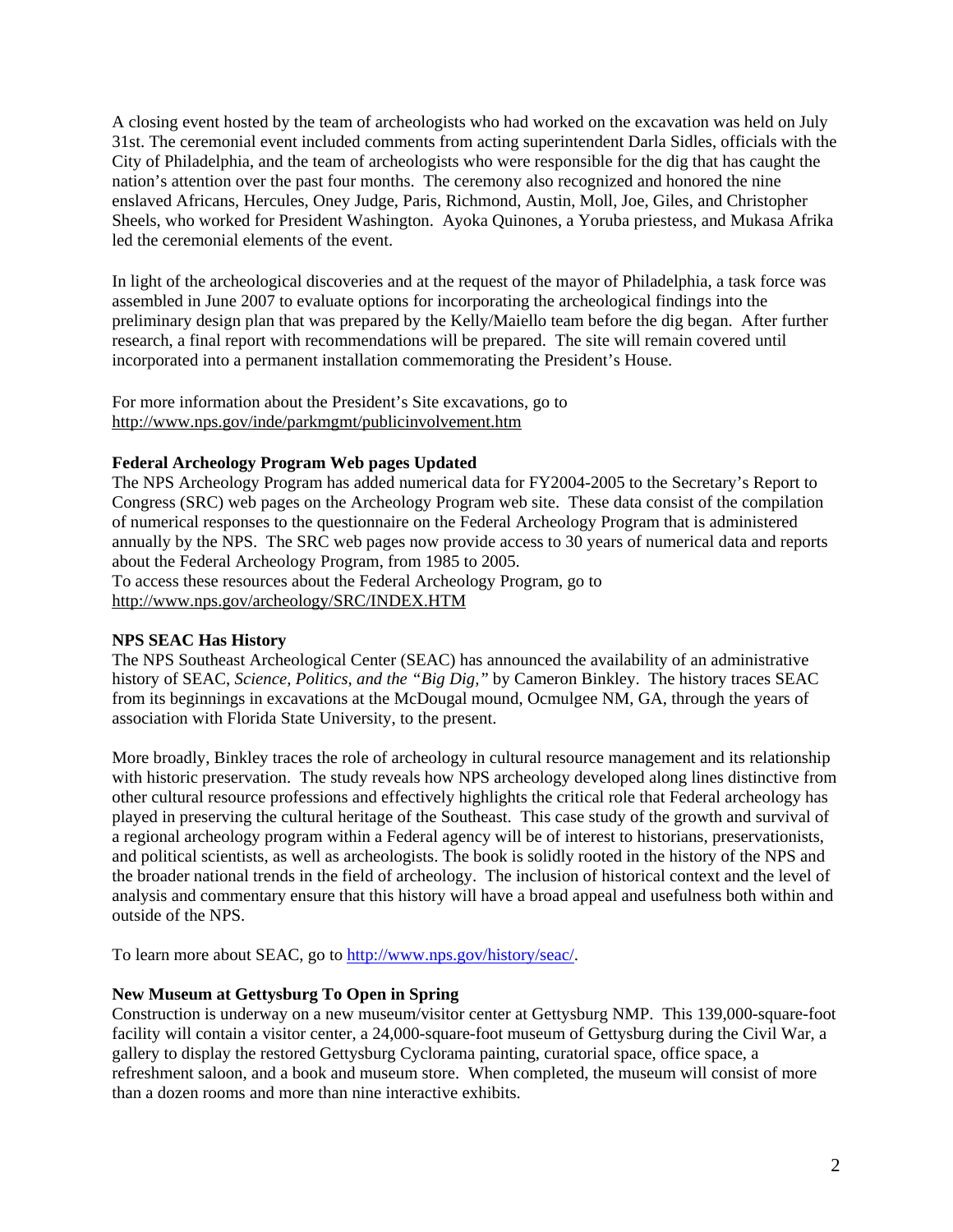A closing event hosted by the team of archeologists who had worked on the excavation was held on July 31st. The ceremonial event included comments from acting superintendent Darla Sidles, officials with the City of Philadelphia, and the team of archeologists who were responsible for the dig that has caught the nation's attention over the past four months.The ceremony also recognized and honored the nine enslaved Africans, Hercules, Oney Judge, Paris, Richmond, Austin, Moll, Joe, Giles, and Christopher Sheels, who worked for President Washington. Ayoka Quinones, a Yoruba priestess, and Mukasa Afrika led the ceremonial elements of the event.

In light of the archeological discoveries and at the request of the mayor of Philadelphia, a task force was assembled in June 2007 to evaluate options for incorporating the archeological findings into the preliminary design plan that was prepared by the Kelly/Maiello team before the dig began. After further research, a final report with recommendations will be prepared. The site will remain covered until incorporated into a permanent installation commemorating the President's House.

For more information about the President's Site excavations, go to <http://www.nps.gov/inde/parkmgmt/publicinvolvement.htm>

### **Federal Archeology Program Web pages Updated**

The NPS Archeology Program has added numerical data for FY2004-2005 to the Secretary's Report to Congress (SRC) web pages on the Archeology Program web site. These data consist of the compilation of numerical responses to the questionnaire on the Federal Archeology Program that is administered annually by the NPS. The SRC web pages now provide access to 30 years of numerical data and reports about the Federal Archeology Program, from 1985 to 2005.

To access these resources about the Federal Archeology Program, go to <http://www.nps.gov/archeology/SRC/INDEX.HTM>

### **NPS SEAC Has History**

The NPS Southeast Archeological Center (SEAC) has announced the availability of an administrative history of SEAC, *Science, Politics, and the "Big Dig,"* by Cameron Binkley. The history traces SEAC from its beginnings in excavations at the McDougal mound, Ocmulgee NM, GA, through the years of association with Florida State University, to the present.

More broadly, Binkley traces the role of archeology in cultural resource management and its relationship with historic preservation. The study reveals how NPS archeology developed along lines distinctive from other cultural resource professions and effectively highlights the critical role that Federal archeology has played in preserving the cultural heritage of the Southeast. This case study of the growth and survival of a regional archeology program within a Federal agency will be of interest to historians, preservationists, and political scientists, as well as archeologists. The book is solidly rooted in the history of the NPS and the broader national trends in the field of archeology. The inclusion of historical context and the level of analysis and commentary ensure that this history will have a broad appeal and usefulness both within and outside of the NPS.

To learn more about SEAC, go to<http://www.nps.gov/history/seac/>.

# **New Museum at Gettysburg To Open in Spring**

Construction is underway on a new museum/visitor center at Gettysburg NMP. This 139,000-square-foot facility will contain a visitor center, a 24,000-square-foot museum of Gettysburg during the Civil War, a gallery to display the restored Gettysburg Cyclorama painting, curatorial space, office space, a refreshment saloon, and a book and museum store. When completed, the museum will consist of more than a dozen rooms and more than nine interactive exhibits.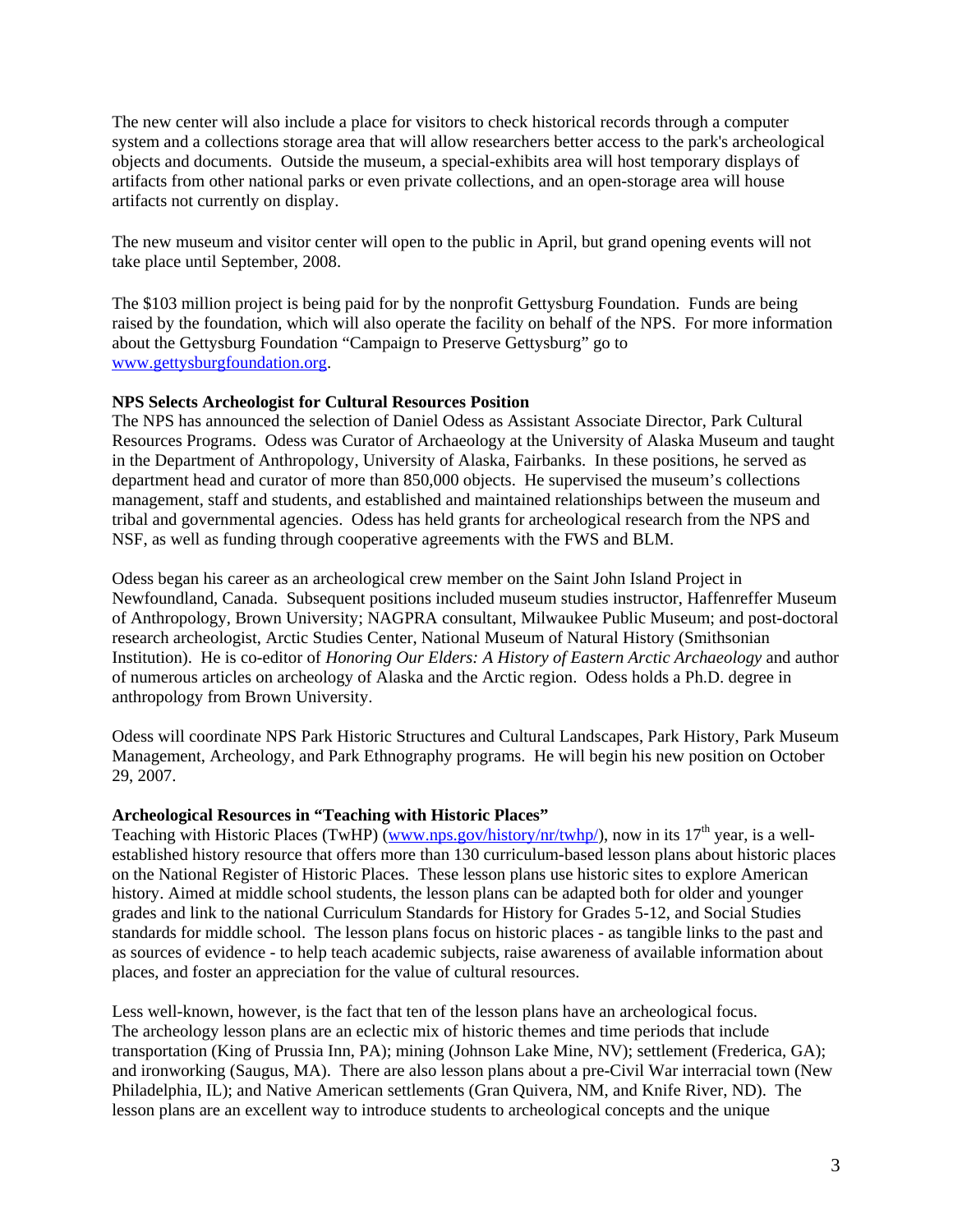The new center will also include a place for visitors to check historical records through a computer system and a collections storage area that will allow researchers better access to the park's archeological objects and documents. Outside the museum, a special-exhibits area will host temporary displays of artifacts from other national parks or even private collections, and an open-storage area will house artifacts not currently on display.

The new museum and visitor center will open to the public in April, but grand opening events will not take place until September, 2008.

The \$103 million project is being paid for by the nonprofit Gettysburg Foundation. Funds are being raised by the foundation, which will also operate the facility on behalf of the NPS. For more information about the Gettysburg Foundation "Campaign to Preserve Gettysburg" go to <www.gettysburgfoundation.org>.

#### **NPS Selects Archeologist for Cultural Resources Position**

The NPS has announced the selection of Daniel Odess as Assistant Associate Director, Park Cultural Resources Programs. Odess was Curator of Archaeology at the University of Alaska Museum and taught in the Department of Anthropology, University of Alaska, Fairbanks. In these positions, he served as department head and curator of more than 850,000 objects. He supervised the museum's collections management, staff and students, and established and maintained relationships between the museum and tribal and governmental agencies. Odess has held grants for archeological research from the NPS and NSF, as well as funding through cooperative agreements with the FWS and BLM.

Odess began his career as an archeological crew member on the Saint John Island Project in Newfoundland, Canada. Subsequent positions included museum studies instructor, Haffenreffer Museum of Anthropology, Brown University; NAGPRA consultant, Milwaukee Public Museum; and post-doctoral research archeologist, Arctic Studies Center, National Museum of Natural History (Smithsonian Institution). He is co-editor of *Honoring Our Elders: A History of Eastern Arctic Archaeology* and author of numerous articles on archeology of Alaska and the Arctic region. Odess holds a Ph.D. degree in anthropology from Brown University.

Odess will coordinate NPS Park Historic Structures and Cultural Landscapes, Park History, Park Museum Management, Archeology, and Park Ethnography programs. He will begin his new position on October 29, 2007.

#### **Archeological Resources in "Teaching with Historic Places"**

Teaching with Historic Places (TwHP) [\(www.nps.gov/history/nr/twhp/\)](www.nps.gov/history/nr/twhp/), now in its  $17<sup>th</sup>$  year, is a wellestablished history resource that offers more than 130 curriculum-based lesson plans about historic places on the National Register of Historic Places. These lesson plans use historic sites to explore American history. Aimed at middle school students, the lesson plans can be adapted both for older and younger grades and link to the national Curriculum Standards for History for Grades 5-12, and Social Studies standards for middle school. The lesson plans focus on historic places - as tangible links to the past and as sources of evidence - to help teach academic subjects, raise awareness of available information about places, and foster an appreciation for the value of cultural resources.

Less well-known, however, is the fact that ten of the lesson plans have an archeological focus. The archeology lesson plans are an eclectic mix of historic themes and time periods that include transportation (King of Prussia Inn, PA); mining (Johnson Lake Mine, NV); settlement (Frederica, GA); and ironworking (Saugus, MA). There are also lesson plans about a pre-Civil War interracial town (New Philadelphia, IL); and Native American settlements (Gran Quivera, NM, and Knife River, ND). The lesson plans are an excellent way to introduce students to archeological concepts and the unique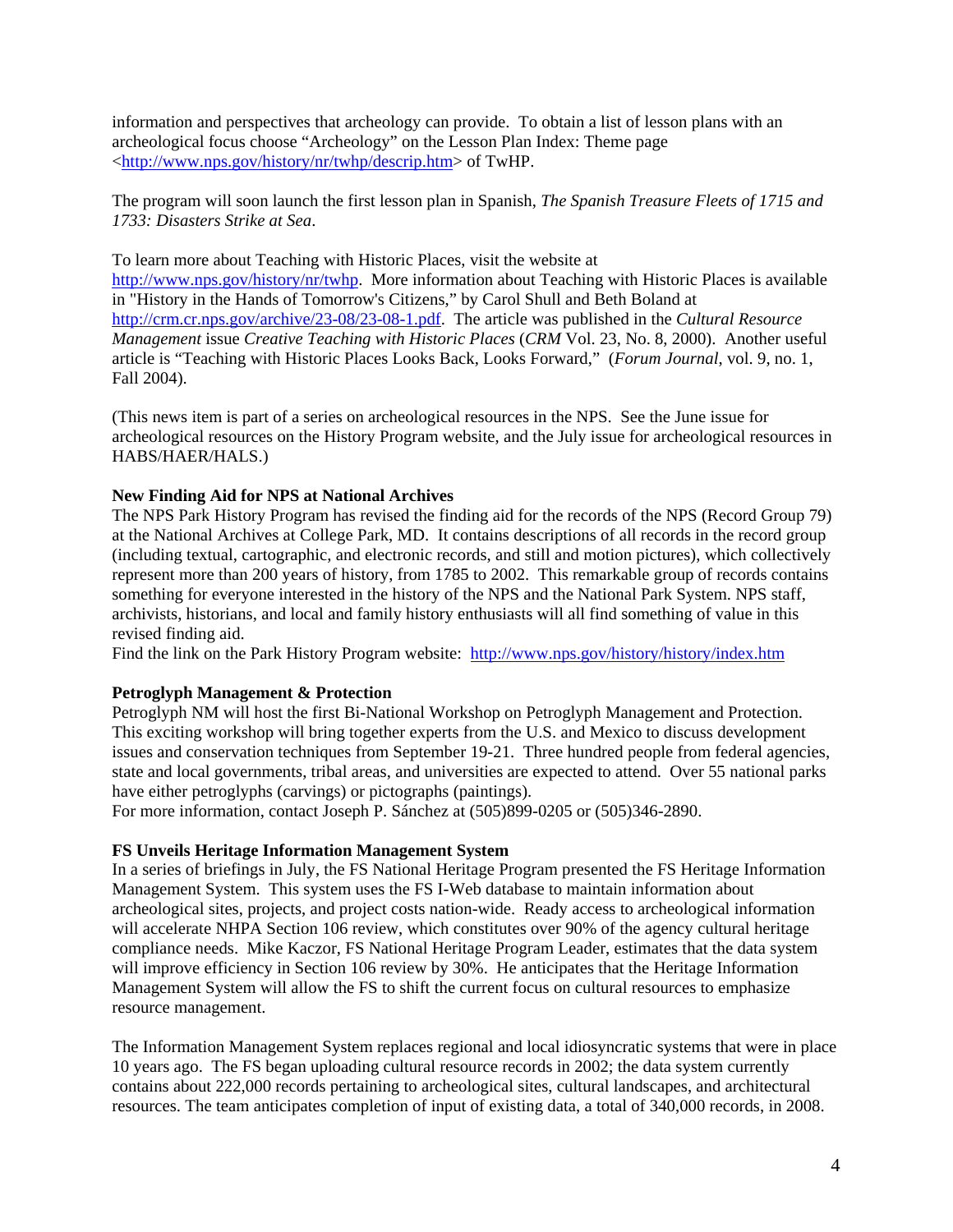information and perspectives that archeology can provide. To obtain a list of lesson plans with an archeological focus choose "Archeology" on the Lesson Plan Index: Theme page [<http://www.nps.gov/history/nr/twhp/descrip.htm](http://www.nps.gov/history/nr/twhp/descrip.htm)> of TwHP.

The program will soon launch the first lesson plan in Spanish, *The Spanish Treasure Fleets of 1715 and 1733: Disasters Strike at Sea*.

To learn more about Teaching with Historic Places, visit the website at <http://www.nps.gov/history/nr/twhp>. More information about Teaching with Historic Places is available in "History in the Hands of Tomorrow's Citizens," by Carol Shull and Beth Boland at <http://crm.cr.nps.gov/archive/23-08/23-08-1.pdf>. The article was published in the *Cultural Resource Management* issue *Creative Teaching with Historic Places* (*CRM* Vol. 23, No. 8, 2000). Another useful article is "Teaching with Historic Places Looks Back, Looks Forward," (*Forum Journal*, vol. 9, no. 1, Fall 2004).

(This news item is part of a series on archeological resources in the NPS. See the June issue for archeological resources on the History Program website, and the July issue for archeological resources in HABS/HAER/HALS.)

### **New Finding Aid for NPS at National Archives**

The NPS Park History Program has revised the finding aid for the records of the NPS (Record Group 79) at the National Archives at College Park, MD. It contains descriptions of all records in the record group (including textual, cartographic, and electronic records, and still and motion pictures), which collectively represent more than 200 years of history, from 1785 to 2002. This remarkable group of records contains something for everyone interested in the history of the NPS and the National Park System. NPS staff, archivists, historians, and local and family history enthusiasts will all find something of value in this revised finding aid.

Find the link on the Park History Program website: <http://www.nps.gov/history/history/index.htm>

### **Petroglyph Management & Protection**

Petroglyph NM will host the first Bi-National Workshop on Petroglyph Management and Protection. This exciting workshop will bring together experts from the U.S. and Mexico to discuss development issues and conservation techniques from September 19-21. Three hundred people from federal agencies, state and local governments, tribal areas, and universities are expected to attend. Over 55 national parks have either petroglyphs (carvings) or pictographs (paintings).

For more information, contact Joseph P. Sánchez at (505)899-0205 or (505)346-2890.

### **FS Unveils Heritage Information Management System**

In a series of briefings in July, the FS National Heritage Program presented the FS Heritage Information Management System. This system uses the FS I-Web database to maintain information about archeological sites, projects, and project costs nation-wide. Ready access to archeological information will accelerate NHPA Section 106 review, which constitutes over 90% of the agency cultural heritage compliance needs. Mike Kaczor, FS National Heritage Program Leader, estimates that the data system will improve efficiency in Section 106 review by 30%. He anticipates that the Heritage Information Management System will allow the FS to shift the current focus on cultural resources to emphasize resource management.

The Information Management System replaces regional and local idiosyncratic systems that were in place 10 years ago. The FS began uploading cultural resource records in 2002; the data system currently contains about 222,000 records pertaining to archeological sites, cultural landscapes, and architectural resources. The team anticipates completion of input of existing data, a total of 340,000 records, in 2008.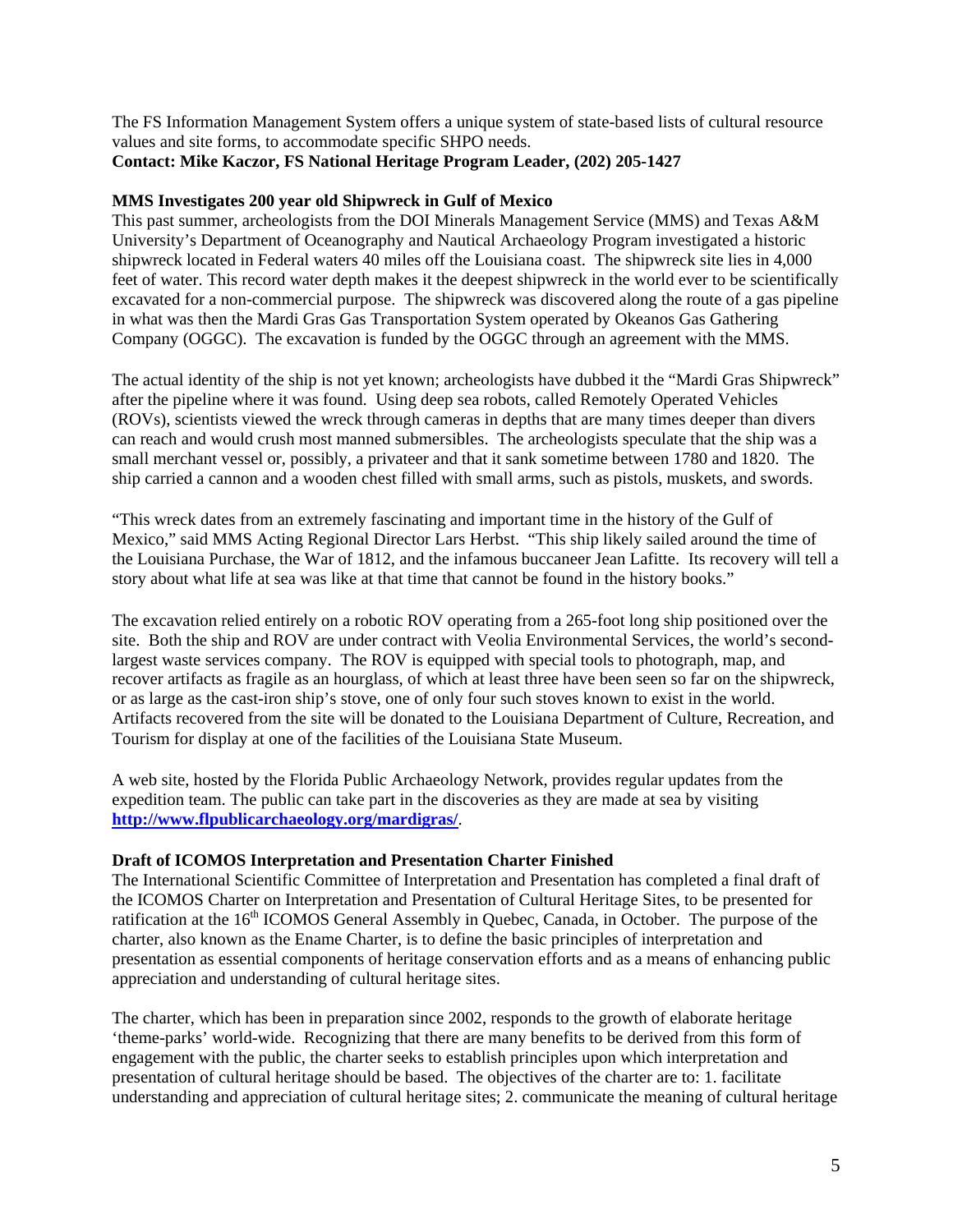The FS Information Management System offers a unique system of state-based lists of cultural resource values and site forms, to accommodate specific SHPO needs.

## **Contact: Mike Kaczor, FS National Heritage Program Leader, (202) 205-1427**

### **MMS Investigates 200 year old Shipwreck in Gulf of Mexico**

This past summer, archeologists from the DOI Minerals Management Service (MMS) and Texas A&M University's Department of Oceanography and Nautical Archaeology Program investigated a historic shipwreck located in Federal waters 40 miles off the Louisiana coast. The shipwreck site lies in 4,000 feet of water. This record water depth makes it the deepest shipwreck in the world ever to be scientifically excavated for a non-commercial purpose. The shipwreck was discovered along the route of a gas pipeline in what was then the Mardi Gras Gas Transportation System operated by Okeanos Gas Gathering Company (OGGC). The excavation is funded by the OGGC through an agreement with the MMS.

The actual identity of the ship is not yet known; archeologists have dubbed it the "Mardi Gras Shipwreck" after the pipeline where it was found. Using deep sea robots, called Remotely Operated Vehicles (ROVs), scientists viewed the wreck through cameras in depths that are many times deeper than divers can reach and would crush most manned submersibles. The archeologists speculate that the ship was a small merchant vessel or, possibly, a privateer and that it sank sometime between 1780 and 1820. The ship carried a cannon and a wooden chest filled with small arms, such as pistols, muskets, and swords.

"This wreck dates from an extremely fascinating and important time in the history of the Gulf of Mexico," said MMS Acting Regional Director Lars Herbst. "This ship likely sailed around the time of the Louisiana Purchase, the War of 1812, and the infamous buccaneer Jean Lafitte. Its recovery will tell a story about what life at sea was like at that time that cannot be found in the history books."

The excavation relied entirely on a robotic ROV operating from a 265-foot long ship positioned over the site. Both the ship and ROV are under contract with Veolia Environmental Services, the world's secondlargest waste services company. The ROV is equipped with special tools to photograph, map, and recover artifacts as fragile as an hourglass, of which at least three have been seen so far on the shipwreck, or as large as the cast-iron ship's stove, one of only four such stoves known to exist in the world. Artifacts recovered from the site will be donated to the Louisiana Department of Culture, Recreation, and Tourism for display at one of the facilities of the Louisiana State Museum.

A web site, hosted by the Florida Public Archaeology Network, provides regular updates from the expedition team. The public can take part in the discoveries as they are made at sea by visiting **<http://www.flpublicarchaeology.org/mardigras/>**.

### **Draft of ICOMOS Interpretation and Presentation Charter Finished**

The International Scientific Committee of Interpretation and Presentation has completed a final draft of the ICOMOS Charter on Interpretation and Presentation of Cultural Heritage Sites, to be presented for ratification at the 16<sup>th</sup> ICOMOS General Assembly in Quebec, Canada, in October. The purpose of the charter, also known as the Ename Charter, is to define the basic principles of interpretation and presentation as essential components of heritage conservation efforts and as a means of enhancing public appreciation and understanding of cultural heritage sites.

The charter, which has been in preparation since 2002, responds to the growth of elaborate heritage 'theme-parks' world-wide. Recognizing that there are many benefits to be derived from this form of engagement with the public, the charter seeks to establish principles upon which interpretation and presentation of cultural heritage should be based. The objectives of the charter are to: 1. facilitate understanding and appreciation of cultural heritage sites; 2. communicate the meaning of cultural heritage